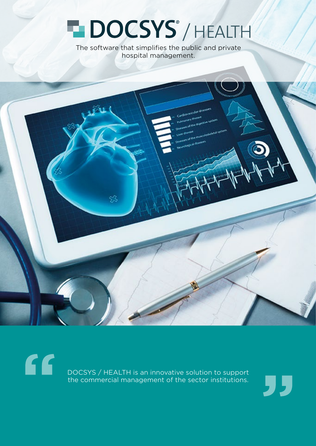## **HDOCSYS**<sup>'</sup>/HEALTH

The software that simplifies the public and private hospital management.

 $66$ DOCSYS / HEALTH is an innovative solution to support the commercial management of the sector institutions.